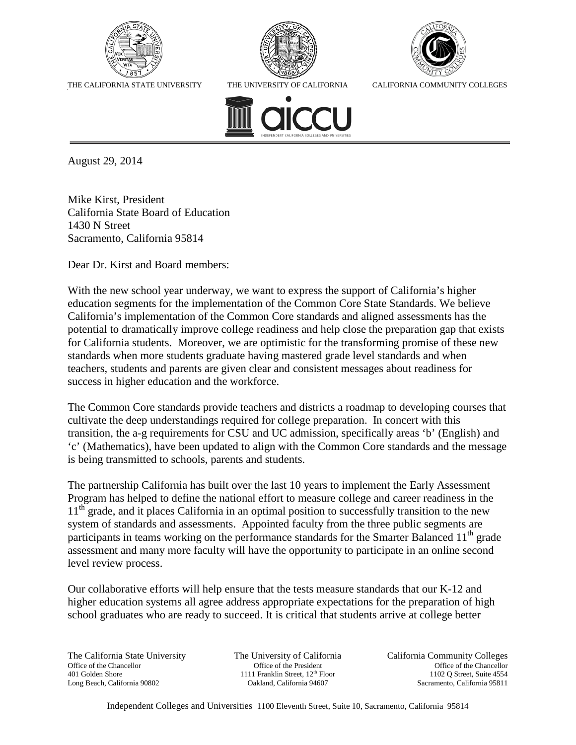





THE CALIFORNIA STATE UNIVERSITY THE UNIVERSITY OF CALIFORNIA CALIFORNIA COMMUNITY COLLEGES



August 29, 2014

Mike Kirst, President California State Board of Education 1430 N Street Sacramento, California 95814

Dear Dr. Kirst and Board members:

With the new school year underway, we want to express the support of California's higher education segments for the implementation of the Common Core State Standards. We believe California's implementation of the Common Core standards and aligned assessments has the potential to dramatically improve college readiness and help close the preparation gap that exists for California students. Moreover, we are optimistic for the transforming promise of these new standards when more students graduate having mastered grade level standards and when teachers, students and parents are given clear and consistent messages about readiness for success in higher education and the workforce.

The Common Core standards provide teachers and districts a roadmap to developing courses that cultivate the deep understandings required for college preparation. In concert with this transition, the a-g requirements for CSU and UC admission, specifically areas 'b' (English) and 'c' (Mathematics), have been updated to align with the Common Core standards and the message is being transmitted to schools, parents and students.

The partnership California has built over the last 10 years to implement the Early Assessment Program has helped to define the national effort to measure college and career readiness in the 11<sup>th</sup> grade, and it places California in an optimal position to successfully transition to the new system of standards and assessments. Appointed faculty from the three public segments are participants in teams working on the performance standards for the Smarter Balanced 11<sup>th</sup> grade assessment and many more faculty will have the opportunity to participate in an online second level review process.

Our collaborative efforts will help ensure that the tests measure standards that our K-12 and higher education systems all agree address appropriate expectations for the preparation of high school graduates who are ready to succeed. It is critical that students arrive at college better

The California State University Office of the Chancellor 401 Golden Shore Long Beach, California 90802

The University of California Office of the President 1111 Franklin Street, 12<sup>th</sup> Floor Oakland, California 94607

California Community Colleges Office of the Chancellor 1102 Q Street, Suite 4554 Sacramento, California 95811

Independent Colleges and Universities 1100 Eleventh Street, Suite 10, Sacramento, California 95814